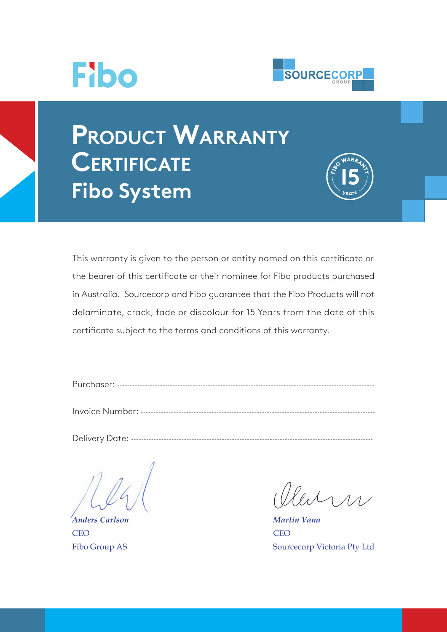



# **Product Warranty Certificate Fibo System**



This warranty is given to the person or entity named on this certificate or the bearer of this certificate or their nominee for Fibo products purchased in Australia. Sourcecorp and Fibo guarantee that the Fibo Products will not delaminate, crack, fade or discolour for 15 Years from the date of this certificate subject to the terms and conditions of this warranty.

| D <sub>1</sub> |         |  |
|----------------|---------|--|
|                | ------- |  |
|                |         |  |

Invoice Number: ---------------------------------------------------------------------------------------------

Delivery Date: ------------------------------------------------------------------------------------------------

*Anders Carlson* **CEO** Fibo Group AS

leitra

*Martin Vana* **CEO** Sourcecorp Victoria Pty Ltd